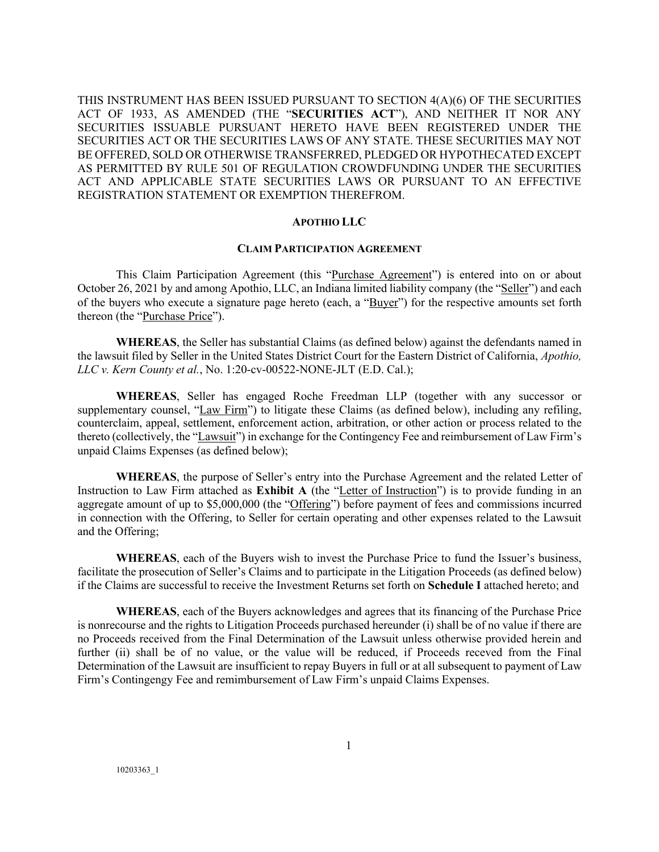THIS INSTRUMENT HAS BEEN ISSUED PURSUANT TO SECTION 4(A)(6) OF THE SECURITIES ACT OF 1933, AS AMENDED (THE "**SECURITIES ACT**"), AND NEITHER IT NOR ANY SECURITIES ISSUABLE PURSUANT HERETO HAVE BEEN REGISTERED UNDER THE SECURITIES ACT OR THE SECURITIES LAWS OF ANY STATE. THESE SECURITIES MAY NOT BE OFFERED, SOLD OR OTHERWISE TRANSFERRED, PLEDGED OR HYPOTHECATED EXCEPT AS PERMITTED BY RULE 501 OF REGULATION CROWDFUNDING UNDER THE SECURITIES ACT AND APPLICABLE STATE SECURITIES LAWS OR PURSUANT TO AN EFFECTIVE REGISTRATION STATEMENT OR EXEMPTION THEREFROM.

#### **APOTHIO LLC**

#### **CLAIM PARTICIPATION AGREEMENT**

This Claim Participation Agreement (this "Purchase Agreement") is entered into on or about October 26, 2021 by and among Apothio, LLC, an Indiana limited liability company (the "Seller") and each of the buyers who execute a signature page hereto (each, a "Buyer") for the respective amounts set forth thereon (the "Purchase Price").

**WHEREAS**, the Seller has substantial Claims (as defined below) against the defendants named in the lawsuit filed by Seller in the United States District Court for the Eastern District of California, *Apothio, LLC v. Kern County et al.*, No. 1:20-cv-00522-NONE-JLT (E.D. Cal.);

**WHEREAS**, Seller has engaged Roche Freedman LLP (together with any successor or supplementary counsel, "Law Firm") to litigate these Claims (as defined below), including any refiling, counterclaim, appeal, settlement, enforcement action, arbitration, or other action or process related to the thereto (collectively, the "Lawsuit") in exchange for the Contingency Fee and reimbursement of Law Firm's unpaid Claims Expenses (as defined below);

**WHEREAS**, the purpose of Seller's entry into the Purchase Agreement and the related Letter of Instruction to Law Firm attached as **Exhibit A** (the "Letter of Instruction") is to provide funding in an aggregate amount of up to \$5,000,000 (the "Offering") before payment of fees and commissions incurred in connection with the Offering, to Seller for certain operating and other expenses related to the Lawsuit and the Offering;

**WHEREAS**, each of the Buyers wish to invest the Purchase Price to fund the Issuer's business, facilitate the prosecution of Seller's Claims and to participate in the Litigation Proceeds (as defined below) if the Claims are successful to receive the Investment Returns set forth on **Schedule I** attached hereto; and

**WHEREAS**, each of the Buyers acknowledges and agrees that its financing of the Purchase Price is nonrecourse and the rights to Litigation Proceeds purchased hereunder (i) shall be of no value if there are no Proceeds received from the Final Determination of the Lawsuit unless otherwise provided herein and further (ii) shall be of no value, or the value will be reduced, if Proceeds receved from the Final Determination of the Lawsuit are insufficient to repay Buyers in full or at all subsequent to payment of Law Firm's Contingengy Fee and remimbursement of Law Firm's unpaid Claims Expenses.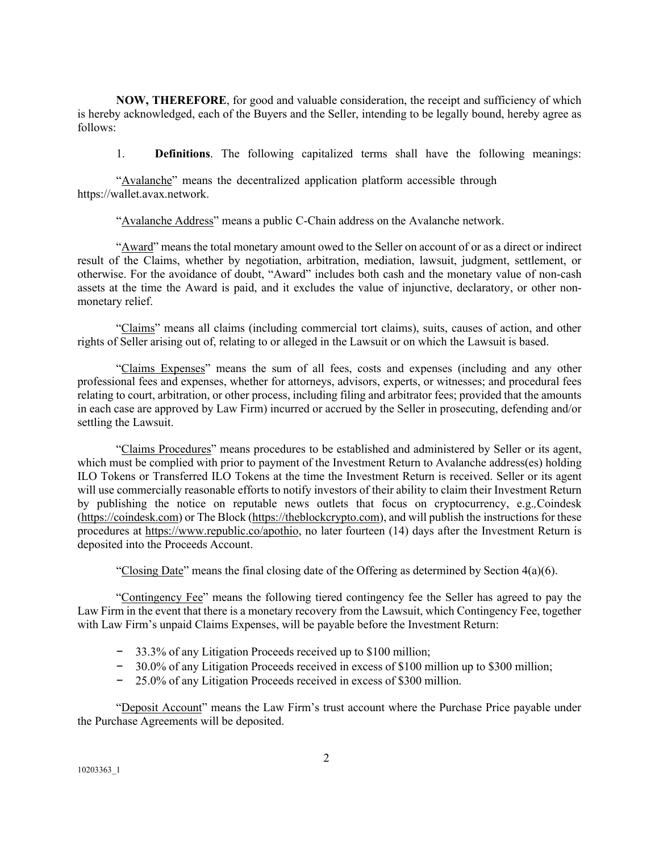**NOW, THEREFORE**, for good and valuable consideration, the receipt and sufficiency of which is hereby acknowledged, each of the Buyers and the Seller, intending to be legally bound, hereby agree as follows:

1. **Definitions**. The following capitalized terms shall have the following meanings:

"Avalanche" means the decentralized application platform accessible through https://wallet.avax.network.

"Avalanche Address" means a public C-Chain address on the Avalanche network.

"Award" means the total monetary amount owed to the Seller on account of or as a direct or indirect result of the Claims, whether by negotiation, arbitration, mediation, lawsuit, judgment, settlement, or otherwise. For the avoidance of doubt, "Award" includes both cash and the monetary value of non-cash assets at the time the Award is paid, and it excludes the value of injunctive, declaratory, or other nonmonetary relief.

"Claims" means all claims (including commercial tort claims), suits, causes of action, and other rights of Seller arising out of, relating to or alleged in the Lawsuit or on which the Lawsuit is based.

"Claims Expenses" means the sum of all fees, costs and expenses (including and any other professional fees and expenses, whether for attorneys, advisors, experts, or witnesses; and procedural fees relating to court, arbitration, or other process, including filing and arbitrator fees; provided that the amounts in each case are approved by Law Firm) incurred or accrued by the Seller in prosecuting, defending and/or settling the Lawsuit.

"Claims Procedures" means procedures to be established and administered by Seller or its agent, which must be complied with prior to payment of the Investment Return to Avalanche address(es) holding ILO Tokens or Transferred ILO Tokens at the time the Investment Return is received. Seller or its agent will use commercially reasonable efforts to notify investors of their ability to claim their Investment Return by publishing the notice on reputable news outlets that focus on cryptocurrency, e.g.*,*Coindesk (https://coindesk.com) or The Block (https://theblockcrypto.com), and will publish the instructions for these procedures at https://www.republic.co/apothio, no later fourteen (14) days after the Investment Return is deposited into the Proceeds Account.

"Closing Date" means the final closing date of the Offering as determined by Section  $4(a)(6)$ .

"Contingency Fee" means the following tiered contingency fee the Seller has agreed to pay the Law Firm in the event that there is a monetary recovery from the Lawsuit, which Contingency Fee, together with Law Firm's unpaid Claims Expenses, will be payable before the Investment Return:

- − 33.3% of any Litigation Proceeds received up to \$100 million;
- − 30.0% of any Litigation Proceeds received in excess of \$100 million up to \$300 million;
- − 25.0% of any Litigation Proceeds received in excess of \$300 million.

"Deposit Account" means the Law Firm's trust account where the Purchase Price payable under the Purchase Agreements will be deposited.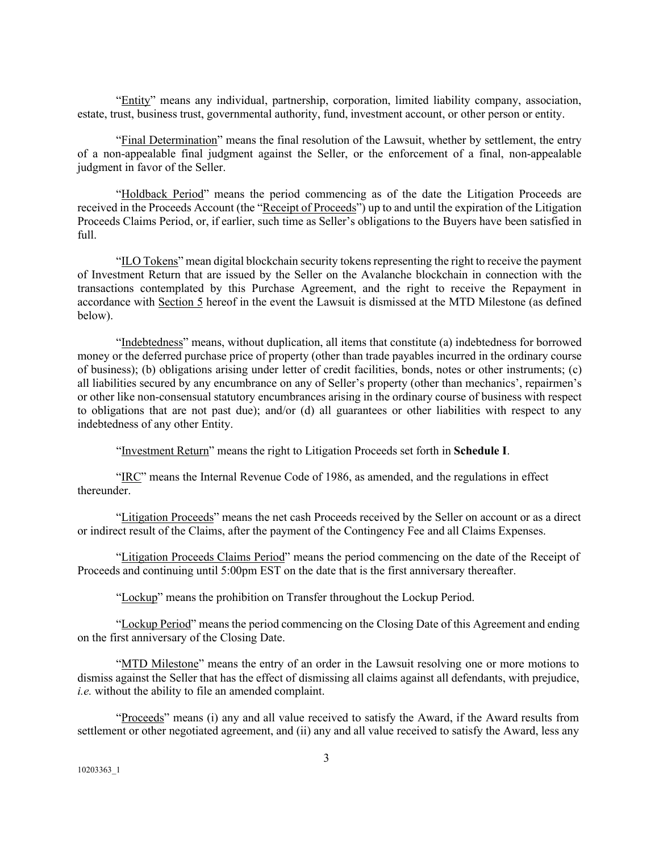"Entity" means any individual, partnership, corporation, limited liability company, association, estate, trust, business trust, governmental authority, fund, investment account, or other person or entity.

"Final Determination" means the final resolution of the Lawsuit, whether by settlement, the entry of a non-appealable final judgment against the Seller, or the enforcement of a final, non-appealable judgment in favor of the Seller.

"Holdback Period" means the period commencing as of the date the Litigation Proceeds are received in the Proceeds Account (the "Receipt of Proceeds") up to and until the expiration of the Litigation Proceeds Claims Period, or, if earlier, such time as Seller's obligations to the Buyers have been satisfied in full.

"ILO Tokens" mean digital blockchain security tokensrepresenting the right to receive the payment of Investment Return that are issued by the Seller on the Avalanche blockchain in connection with the transactions contemplated by this Purchase Agreement, and the right to receive the Repayment in accordance with Section 5 hereof in the event the Lawsuit is dismissed at the MTD Milestone (as defined below).

"Indebtedness" means, without duplication, all items that constitute (a) indebtedness for borrowed money or the deferred purchase price of property (other than trade payables incurred in the ordinary course of business); (b) obligations arising under letter of credit facilities, bonds, notes or other instruments; (c) all liabilities secured by any encumbrance on any of Seller's property (other than mechanics', repairmen's or other like non-consensual statutory encumbrances arising in the ordinary course of business with respect to obligations that are not past due); and/or (d) all guarantees or other liabilities with respect to any indebtedness of any other Entity.

"Investment Return" means the right to Litigation Proceeds set forth in **Schedule I**.

"IRC" means the Internal Revenue Code of 1986, as amended, and the regulations in effect thereunder.

"Litigation Proceeds" means the net cash Proceeds received by the Seller on account or as a direct or indirect result of the Claims, after the payment of the Contingency Fee and all Claims Expenses.

"Litigation Proceeds Claims Period" means the period commencing on the date of the Receipt of Proceeds and continuing until 5:00pm EST on the date that is the first anniversary thereafter.

"Lockup" means the prohibition on Transfer throughout the Lockup Period.

"Lockup Period" means the period commencing on the Closing Date of this Agreement and ending on the first anniversary of the Closing Date.

"MTD Milestone" means the entry of an order in the Lawsuit resolving one or more motions to dismiss against the Seller that has the effect of dismissing all claims against all defendants, with prejudice, *i.e.* without the ability to file an amended complaint.

"Proceeds" means (i) any and all value received to satisfy the Award, if the Award results from settlement or other negotiated agreement, and (ii) any and all value received to satisfy the Award, less any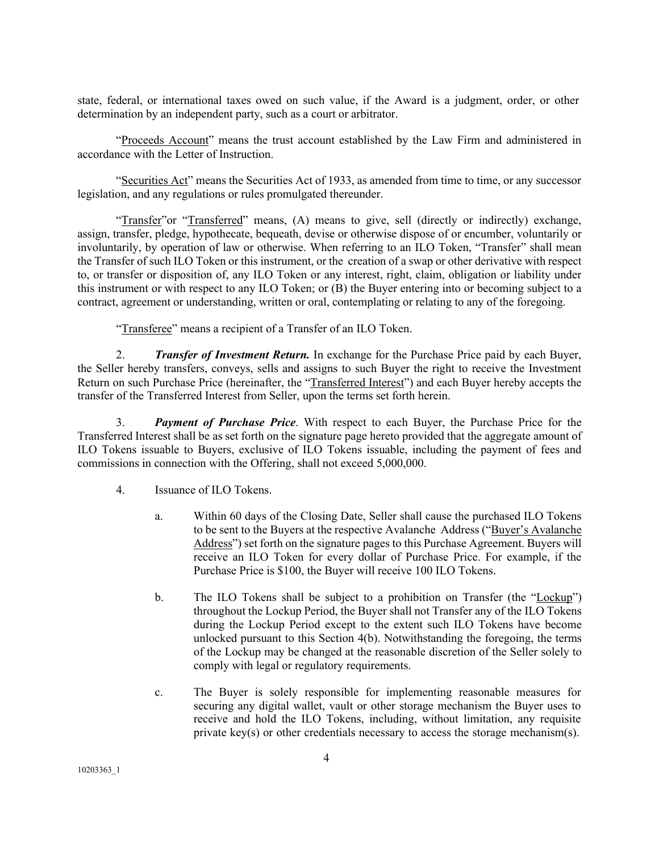state, federal, or international taxes owed on such value, if the Award is a judgment, order, or other determination by an independent party, such as a court or arbitrator.

"Proceeds Account" means the trust account established by the Law Firm and administered in accordance with the Letter of Instruction.

"Securities Act" means the Securities Act of 1933, as amended from time to time, or any successor legislation, and any regulations or rules promulgated thereunder.

"Transfer"or "Transferred" means, (A) means to give, sell (directly or indirectly) exchange, assign, transfer, pledge, hypothecate, bequeath, devise or otherwise dispose of or encumber, voluntarily or involuntarily, by operation of law or otherwise. When referring to an ILO Token, "Transfer" shall mean the Transfer of such ILO Token or this instrument, or the creation of a swap or other derivative with respect to, or transfer or disposition of, any ILO Token or any interest, right, claim, obligation or liability under this instrument or with respect to any ILO Token; or (B) the Buyer entering into or becoming subject to a contract, agreement or understanding, written or oral, contemplating or relating to any of the foregoing.

"Transferee" means a recipient of a Transfer of an ILO Token.

2. *Transfer of Investment Return.* In exchange for the Purchase Price paid by each Buyer, the Seller hereby transfers, conveys, sells and assigns to such Buyer the right to receive the Investment Return on such Purchase Price (hereinafter, the "Transferred Interest") and each Buyer hereby accepts the transfer of the Transferred Interest from Seller, upon the terms set forth herein.

3. *Payment of Purchase Price*. With respect to each Buyer, the Purchase Price for the Transferred Interest shall be as set forth on the signature page hereto provided that the aggregate amount of ILO Tokens issuable to Buyers, exclusive of ILO Tokens issuable, including the payment of fees and commissions in connection with the Offering, shall not exceed 5,000,000.

4. Issuance of ILO Tokens.

- a. Within 60 days of the Closing Date, Seller shall cause the purchased ILO Tokens to be sent to the Buyers at the respective Avalanche Address ("Buyer's Avalanche Address") set forth on the signature pages to this Purchase Agreement. Buyers will receive an ILO Token for every dollar of Purchase Price. For example, if the Purchase Price is \$100, the Buyer will receive 100 ILO Tokens.
- b. The ILO Tokens shall be subject to a prohibition on Transfer (the "Lockup") throughout the Lockup Period, the Buyer shall not Transfer any of the ILO Tokens during the Lockup Period except to the extent such ILO Tokens have become unlocked pursuant to this Section 4(b). Notwithstanding the foregoing, the terms of the Lockup may be changed at the reasonable discretion of the Seller solely to comply with legal or regulatory requirements.
- c. The Buyer is solely responsible for implementing reasonable measures for securing any digital wallet, vault or other storage mechanism the Buyer uses to receive and hold the ILO Tokens, including, without limitation, any requisite private key(s) or other credentials necessary to access the storage mechanism(s).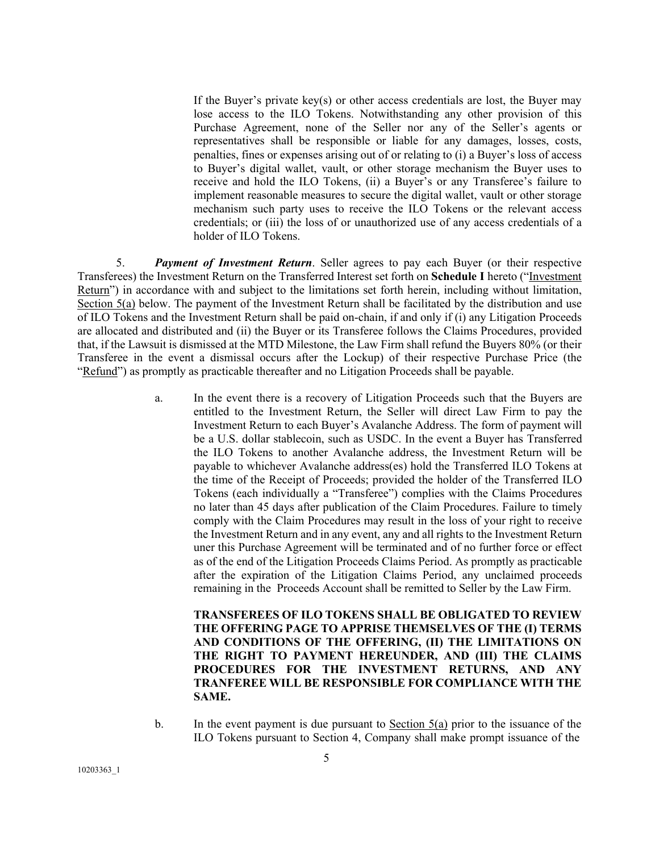If the Buyer's private key(s) or other access credentials are lost, the Buyer may lose access to the ILO Tokens. Notwithstanding any other provision of this Purchase Agreement, none of the Seller nor any of the Seller's agents or representatives shall be responsible or liable for any damages, losses, costs, penalties, fines or expenses arising out of or relating to (i) a Buyer's loss of access to Buyer's digital wallet, vault, or other storage mechanism the Buyer uses to receive and hold the ILO Tokens, (ii) a Buyer's or any Transferee's failure to implement reasonable measures to secure the digital wallet, vault or other storage mechanism such party uses to receive the ILO Tokens or the relevant access credentials; or (iii) the loss of or unauthorized use of any access credentials of a holder of ILO Tokens.

5. *Payment of Investment Return*. Seller agrees to pay each Buyer (or their respective Transferees) the Investment Return on the Transferred Interest set forth on **Schedule I** hereto ("Investment Return") in accordance with and subject to the limitations set forth herein, including without limitation, Section 5(a) below. The payment of the Investment Return shall be facilitated by the distribution and use of ILO Tokens and the Investment Return shall be paid on-chain, if and only if (i) any Litigation Proceeds are allocated and distributed and (ii) the Buyer or its Transferee follows the Claims Procedures, provided that, if the Lawsuit is dismissed at the MTD Milestone, the Law Firm shall refund the Buyers 80% (or their Transferee in the event a dismissal occurs after the Lockup) of their respective Purchase Price (the "Refund") as promptly as practicable thereafter and no Litigation Proceeds shall be payable.

> a. In the event there is a recovery of Litigation Proceeds such that the Buyers are entitled to the Investment Return, the Seller will direct Law Firm to pay the Investment Return to each Buyer's Avalanche Address. The form of payment will be a U.S. dollar stablecoin, such as USDC. In the event a Buyer has Transferred the ILO Tokens to another Avalanche address, the Investment Return will be payable to whichever Avalanche address(es) hold the Transferred ILO Tokens at the time of the Receipt of Proceeds; provided the holder of the Transferred ILO Tokens (each individually a "Transferee") complies with the Claims Procedures no later than 45 days after publication of the Claim Procedures. Failure to timely comply with the Claim Procedures may result in the loss of your right to receive the Investment Return and in any event, any and all rights to the Investment Return uner this Purchase Agreement will be terminated and of no further force or effect as of the end of the Litigation Proceeds Claims Period. As promptly as practicable after the expiration of the Litigation Claims Period, any unclaimed proceeds remaining in the Proceeds Account shall be remitted to Seller by the Law Firm.

**TRANSFEREES OF ILO TOKENS SHALL BE OBLIGATED TO REVIEW THE OFFERING PAGE TO APPRISE THEMSELVES OF THE (I) TERMS AND CONDITIONS OF THE OFFERING, (II) THE LIMITATIONS ON THE RIGHT TO PAYMENT HEREUNDER, AND (III) THE CLAIMS PROCEDURES FOR THE INVESTMENT RETURNS, AND ANY TRANFEREE WILL BE RESPONSIBLE FOR COMPLIANCE WITH THE SAME.**

b. In the event payment is due pursuant to Section 5(a) prior to the issuance of the ILO Tokens pursuant to Section 4, Company shall make prompt issuance of the

10203363\_1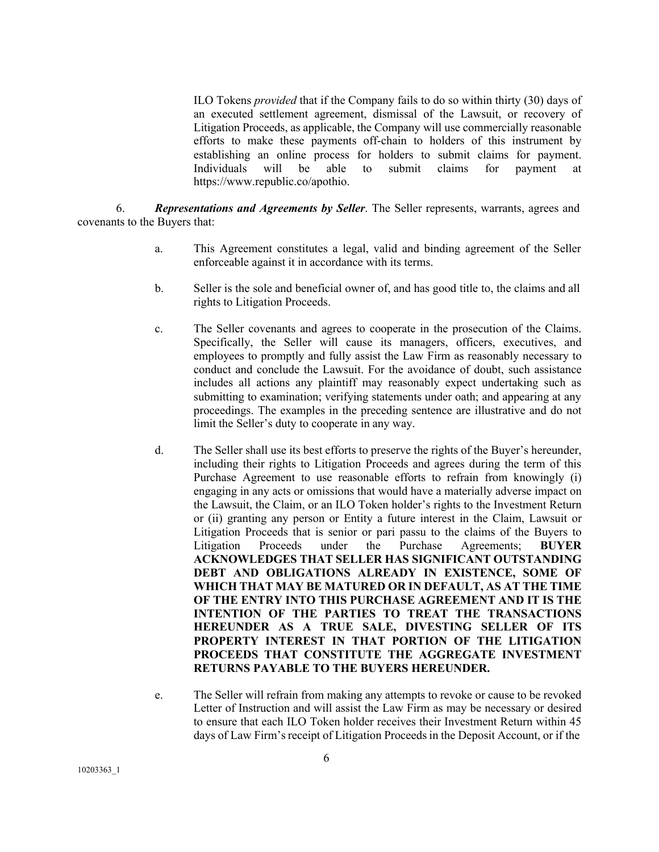ILO Tokens *provided* that if the Company fails to do so within thirty (30) days of an executed settlement agreement, dismissal of the Lawsuit, or recovery of Litigation Proceeds, as applicable, the Company will use commercially reasonable efforts to make these payments off-chain to holders of this instrument by establishing an online process for holders to submit claims for payment. Individuals will be able to submit claims for payment at https://www.republic.co/apothio.

6. *Representations and Agreements by Seller*. The Seller represents, warrants, agrees and covenants to the Buyers that:

- a. This Agreement constitutes a legal, valid and binding agreement of the Seller enforceable against it in accordance with its terms.
- b. Seller is the sole and beneficial owner of, and has good title to, the claims and all rights to Litigation Proceeds.
- c. The Seller covenants and agrees to cooperate in the prosecution of the Claims. Specifically, the Seller will cause its managers, officers, executives, and employees to promptly and fully assist the Law Firm as reasonably necessary to conduct and conclude the Lawsuit. For the avoidance of doubt, such assistance includes all actions any plaintiff may reasonably expect undertaking such as submitting to examination; verifying statements under oath; and appearing at any proceedings. The examples in the preceding sentence are illustrative and do not limit the Seller's duty to cooperate in any way.
- d. The Seller shall use its best efforts to preserve the rights of the Buyer's hereunder, including their rights to Litigation Proceeds and agrees during the term of this Purchase Agreement to use reasonable efforts to refrain from knowingly (i) engaging in any acts or omissions that would have a materially adverse impact on the Lawsuit, the Claim, or an ILO Token holder's rights to the Investment Return or (ii) granting any person or Entity a future interest in the Claim, Lawsuit or Litigation Proceeds that is senior or pari passu to the claims of the Buyers to Litigation Proceeds under the Purchase Agreements; **BUYER ACKNOWLEDGES THAT SELLER HAS SIGNIFICANT OUTSTANDING DEBT AND OBLIGATIONS ALREADY IN EXISTENCE, SOME OF WHICH THAT MAY BE MATURED OR IN DEFAULT, AS AT THE TIME OF THE ENTRY INTO THIS PURCHASE AGREEMENT AND IT IS THE INTENTION OF THE PARTIES TO TREAT THE TRANSACTIONS HEREUNDER AS A TRUE SALE, DIVESTING SELLER OF ITS PROPERTY INTEREST IN THAT PORTION OF THE LITIGATION PROCEEDS THAT CONSTITUTE THE AGGREGATE INVESTMENT RETURNS PAYABLE TO THE BUYERS HEREUNDER.**
- e. The Seller will refrain from making any attempts to revoke or cause to be revoked Letter of Instruction and will assist the Law Firm as may be necessary or desired to ensure that each ILO Token holder receives their Investment Return within 45 days of Law Firm's receipt of Litigation Proceeds in the Deposit Account, or if the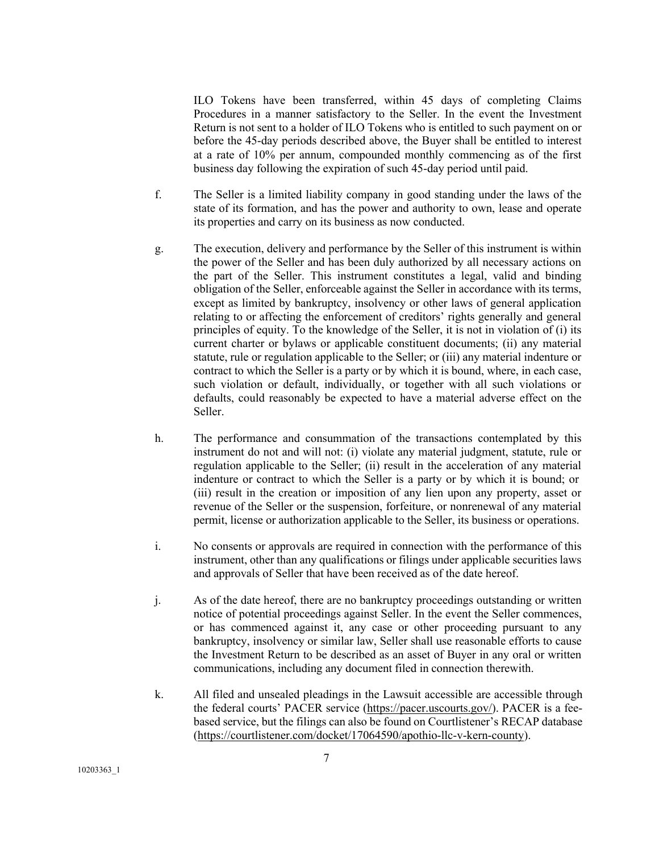ILO Tokens have been transferred, within 45 days of completing Claims Procedures in a manner satisfactory to the Seller. In the event the Investment Return is not sent to a holder of ILO Tokens who is entitled to such payment on or before the 45-day periods described above, the Buyer shall be entitled to interest at a rate of 10% per annum, compounded monthly commencing as of the first business day following the expiration of such 45-day period until paid.

- f. The Seller is a limited liability company in good standing under the laws of the state of its formation, and has the power and authority to own, lease and operate its properties and carry on its business as now conducted.
- g. The execution, delivery and performance by the Seller of this instrument is within the power of the Seller and has been duly authorized by all necessary actions on the part of the Seller. This instrument constitutes a legal, valid and binding obligation of the Seller, enforceable against the Seller in accordance with its terms, except as limited by bankruptcy, insolvency or other laws of general application relating to or affecting the enforcement of creditors' rights generally and general principles of equity. To the knowledge of the Seller, it is not in violation of (i) its current charter or bylaws or applicable constituent documents; (ii) any material statute, rule or regulation applicable to the Seller; or (iii) any material indenture or contract to which the Seller is a party or by which it is bound, where, in each case, such violation or default, individually, or together with all such violations or defaults, could reasonably be expected to have a material adverse effect on the Seller.
- h. The performance and consummation of the transactions contemplated by this instrument do not and will not: (i) violate any material judgment, statute, rule or regulation applicable to the Seller; (ii) result in the acceleration of any material indenture or contract to which the Seller is a party or by which it is bound; or (iii) result in the creation or imposition of any lien upon any property, asset or revenue of the Seller or the suspension, forfeiture, or nonrenewal of any material permit, license or authorization applicable to the Seller, its business or operations.
- i. No consents or approvals are required in connection with the performance of this instrument, other than any qualifications or filings under applicable securities laws and approvals of Seller that have been received as of the date hereof.
- j. As of the date hereof, there are no bankruptcy proceedings outstanding or written notice of potential proceedings against Seller. In the event the Seller commences, or has commenced against it, any case or other proceeding pursuant to any bankruptcy, insolvency or similar law, Seller shall use reasonable efforts to cause the Investment Return to be described as an asset of Buyer in any oral or written communications, including any document filed in connection therewith.
- k. All filed and unsealed pleadings in the Lawsuit accessible are accessible through the federal courts' PACER service (https://pacer.uscourts.gov/). PACER is a feebased service, but the filings can also be found on Courtlistener's RECAP database (https://courtlistener.com/docket/17064590/apothio-llc-v-kern-county).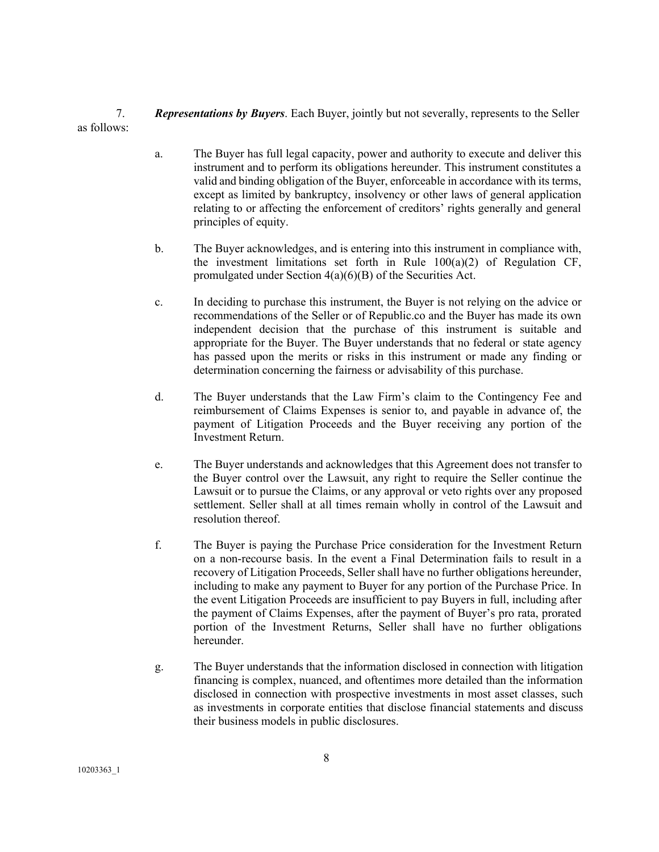7. *Representations by Buyers*. Each Buyer, jointly but not severally, represents to the Seller as follows:

- a. The Buyer has full legal capacity, power and authority to execute and deliver this instrument and to perform its obligations hereunder. This instrument constitutes a valid and binding obligation of the Buyer, enforceable in accordance with its terms, except as limited by bankruptcy, insolvency or other laws of general application relating to or affecting the enforcement of creditors' rights generally and general principles of equity.
- b. The Buyer acknowledges, and is entering into this instrument in compliance with, the investment limitations set forth in Rule  $100(a)(2)$  of Regulation CF, promulgated under Section 4(a)(6)(B) of the Securities Act.
- c. In deciding to purchase this instrument, the Buyer is not relying on the advice or recommendations of the Seller or of Republic.co and the Buyer has made its own independent decision that the purchase of this instrument is suitable and appropriate for the Buyer. The Buyer understands that no federal or state agency has passed upon the merits or risks in this instrument or made any finding or determination concerning the fairness or advisability of this purchase.
- d. The Buyer understands that the Law Firm's claim to the Contingency Fee and reimbursement of Claims Expenses is senior to, and payable in advance of, the payment of Litigation Proceeds and the Buyer receiving any portion of the Investment Return.
- e. The Buyer understands and acknowledges that this Agreement does not transfer to the Buyer control over the Lawsuit, any right to require the Seller continue the Lawsuit or to pursue the Claims, or any approval or veto rights over any proposed settlement. Seller shall at all times remain wholly in control of the Lawsuit and resolution thereof.
- f. The Buyer is paying the Purchase Price consideration for the Investment Return on a non-recourse basis. In the event a Final Determination fails to result in a recovery of Litigation Proceeds, Seller shall have no further obligations hereunder, including to make any payment to Buyer for any portion of the Purchase Price. In the event Litigation Proceeds are insufficient to pay Buyers in full, including after the payment of Claims Expenses, after the payment of Buyer's pro rata, prorated portion of the Investment Returns, Seller shall have no further obligations hereunder.
- g. The Buyer understands that the information disclosed in connection with litigation financing is complex, nuanced, and oftentimes more detailed than the information disclosed in connection with prospective investments in most asset classes, such as investments in corporate entities that disclose financial statements and discuss their business models in public disclosures.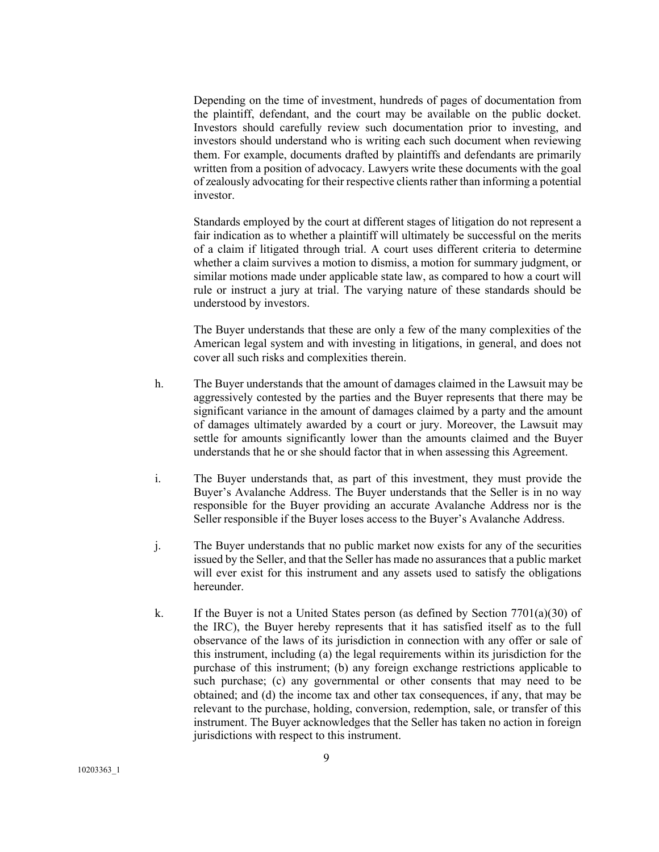Depending on the time of investment, hundreds of pages of documentation from the plaintiff, defendant, and the court may be available on the public docket. Investors should carefully review such documentation prior to investing, and investors should understand who is writing each such document when reviewing them. For example, documents drafted by plaintiffs and defendants are primarily written from a position of advocacy. Lawyers write these documents with the goal of zealously advocating for their respective clients rather than informing a potential investor.

Standards employed by the court at different stages of litigation do not represent a fair indication as to whether a plaintiff will ultimately be successful on the merits of a claim if litigated through trial. A court uses different criteria to determine whether a claim survives a motion to dismiss, a motion for summary judgment, or similar motions made under applicable state law, as compared to how a court will rule or instruct a jury at trial. The varying nature of these standards should be understood by investors.

The Buyer understands that these are only a few of the many complexities of the American legal system and with investing in litigations, in general, and does not cover all such risks and complexities therein.

- h. The Buyer understands that the amount of damages claimed in the Lawsuit may be aggressively contested by the parties and the Buyer represents that there may be significant variance in the amount of damages claimed by a party and the amount of damages ultimately awarded by a court or jury. Moreover, the Lawsuit may settle for amounts significantly lower than the amounts claimed and the Buyer understands that he or she should factor that in when assessing this Agreement.
- i. The Buyer understands that, as part of this investment, they must provide the Buyer's Avalanche Address. The Buyer understands that the Seller is in no way responsible for the Buyer providing an accurate Avalanche Address nor is the Seller responsible if the Buyer loses access to the Buyer's Avalanche Address.
- j. The Buyer understands that no public market now exists for any of the securities issued by the Seller, and that the Seller has made no assurances that a public market will ever exist for this instrument and any assets used to satisfy the obligations hereunder.
- k. If the Buyer is not a United States person (as defined by Section  $7701(a)(30)$  of the IRC), the Buyer hereby represents that it has satisfied itself as to the full observance of the laws of its jurisdiction in connection with any offer or sale of this instrument, including (a) the legal requirements within its jurisdiction for the purchase of this instrument; (b) any foreign exchange restrictions applicable to such purchase; (c) any governmental or other consents that may need to be obtained; and (d) the income tax and other tax consequences, if any, that may be relevant to the purchase, holding, conversion, redemption, sale, or transfer of this instrument. The Buyer acknowledges that the Seller has taken no action in foreign jurisdictions with respect to this instrument.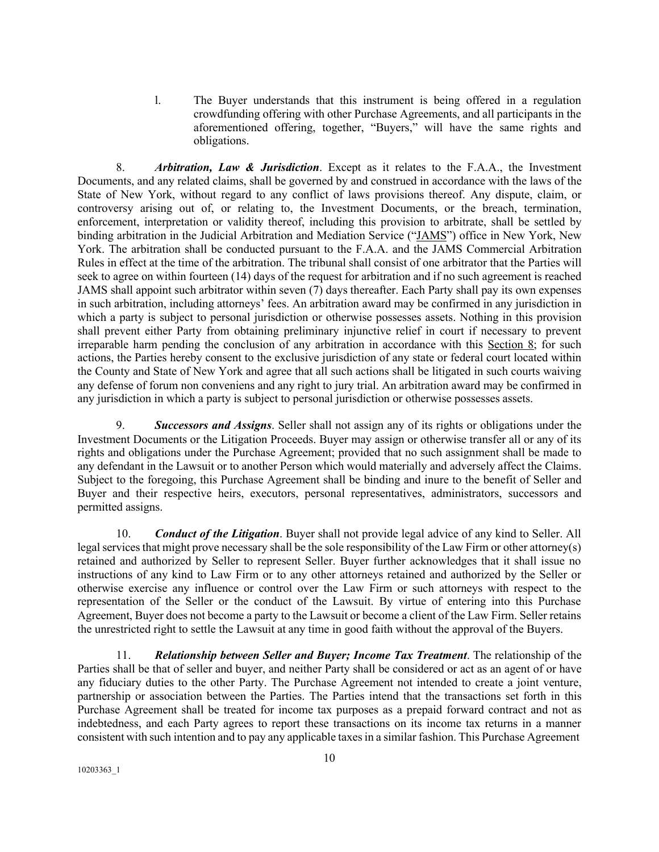l. The Buyer understands that this instrument is being offered in a regulation crowdfunding offering with other Purchase Agreements, and all participants in the aforementioned offering, together, "Buyers," will have the same rights and obligations.

8. *Arbitration, Law & Jurisdiction*. Except as it relates to the F.A.A., the Investment Documents, and any related claims, shall be governed by and construed in accordance with the laws of the State of New York, without regard to any conflict of laws provisions thereof. Any dispute, claim, or controversy arising out of, or relating to, the Investment Documents, or the breach, termination, enforcement, interpretation or validity thereof, including this provision to arbitrate, shall be settled by binding arbitration in the Judicial Arbitration and Mediation Service ("JAMS") office in New York, New York. The arbitration shall be conducted pursuant to the F.A.A. and the JAMS Commercial Arbitration Rules in effect at the time of the arbitration. The tribunal shall consist of one arbitrator that the Parties will seek to agree on within fourteen (14) days of the request for arbitration and if no such agreement is reached JAMS shall appoint such arbitrator within seven (7) days thereafter. Each Party shall pay its own expenses in such arbitration, including attorneys' fees. An arbitration award may be confirmed in any jurisdiction in which a party is subject to personal jurisdiction or otherwise possesses assets. Nothing in this provision shall prevent either Party from obtaining preliminary injunctive relief in court if necessary to prevent irreparable harm pending the conclusion of any arbitration in accordance with this Section 8; for such actions, the Parties hereby consent to the exclusive jurisdiction of any state or federal court located within the County and State of New York and agree that all such actions shall be litigated in such courts waiving any defense of forum non conveniens and any right to jury trial. An arbitration award may be confirmed in any jurisdiction in which a party is subject to personal jurisdiction or otherwise possesses assets.

9. *Successors and Assigns*. Seller shall not assign any of its rights or obligations under the Investment Documents or the Litigation Proceeds. Buyer may assign or otherwise transfer all or any of its rights and obligations under the Purchase Agreement; provided that no such assignment shall be made to any defendant in the Lawsuit or to another Person which would materially and adversely affect the Claims. Subject to the foregoing, this Purchase Agreement shall be binding and inure to the benefit of Seller and Buyer and their respective heirs, executors, personal representatives, administrators, successors and permitted assigns.

10. *Conduct of the Litigation*. Buyer shall not provide legal advice of any kind to Seller. All legal services that might prove necessary shall be the sole responsibility of the Law Firm or other attorney(s) retained and authorized by Seller to represent Seller. Buyer further acknowledges that it shall issue no instructions of any kind to Law Firm or to any other attorneys retained and authorized by the Seller or otherwise exercise any influence or control over the Law Firm or such attorneys with respect to the representation of the Seller or the conduct of the Lawsuit. By virtue of entering into this Purchase Agreement, Buyer does not become a party to the Lawsuit or become a client of the Law Firm. Seller retains the unrestricted right to settle the Lawsuit at any time in good faith without the approval of the Buyers.

11. *Relationship between Seller and Buyer; Income Tax Treatment*. The relationship of the Parties shall be that of seller and buyer, and neither Party shall be considered or act as an agent of or have any fiduciary duties to the other Party. The Purchase Agreement not intended to create a joint venture, partnership or association between the Parties. The Parties intend that the transactions set forth in this Purchase Agreement shall be treated for income tax purposes as a prepaid forward contract and not as indebtedness, and each Party agrees to report these transactions on its income tax returns in a manner consistent with such intention and to pay any applicable taxesin a similar fashion. This Purchase Agreement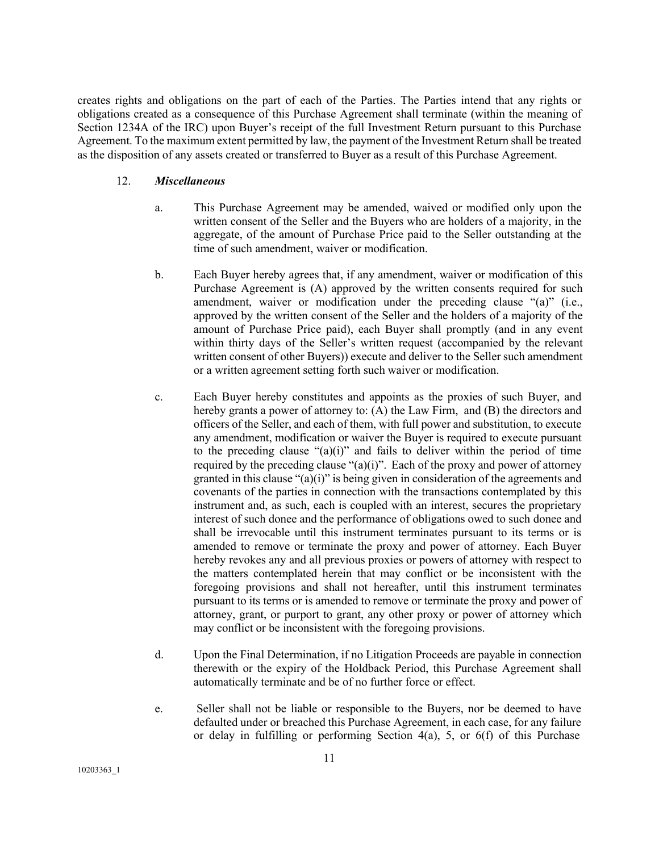creates rights and obligations on the part of each of the Parties. The Parties intend that any rights or obligations created as a consequence of this Purchase Agreement shall terminate (within the meaning of Section 1234A of the IRC) upon Buyer's receipt of the full Investment Return pursuant to this Purchase Agreement. To the maximum extent permitted by law, the payment of the Investment Return shall be treated as the disposition of any assets created or transferred to Buyer as a result of this Purchase Agreement.

#### 12. *Miscellaneous*

- a. This Purchase Agreement may be amended, waived or modified only upon the written consent of the Seller and the Buyers who are holders of a majority, in the aggregate, of the amount of Purchase Price paid to the Seller outstanding at the time of such amendment, waiver or modification.
- b. Each Buyer hereby agrees that, if any amendment, waiver or modification of this Purchase Agreement is (A) approved by the written consents required for such amendment, waiver or modification under the preceding clause "(a)" (i.e., approved by the written consent of the Seller and the holders of a majority of the amount of Purchase Price paid), each Buyer shall promptly (and in any event within thirty days of the Seller's written request (accompanied by the relevant written consent of other Buyers)) execute and deliver to the Seller such amendment or a written agreement setting forth such waiver or modification.
- c. Each Buyer hereby constitutes and appoints as the proxies of such Buyer, and hereby grants a power of attorney to: (A) the Law Firm, and (B) the directors and officers of the Seller, and each of them, with full power and substitution, to execute any amendment, modification or waiver the Buyer is required to execute pursuant to the preceding clause "(a)(i)" and fails to deliver within the period of time required by the preceding clause " $(a)(i)$ ". Each of the proxy and power of attorney granted in this clause "(a)(i)" is being given in consideration of the agreements and covenants of the parties in connection with the transactions contemplated by this instrument and, as such, each is coupled with an interest, secures the proprietary interest of such donee and the performance of obligations owed to such donee and shall be irrevocable until this instrument terminates pursuant to its terms or is amended to remove or terminate the proxy and power of attorney. Each Buyer hereby revokes any and all previous proxies or powers of attorney with respect to the matters contemplated herein that may conflict or be inconsistent with the foregoing provisions and shall not hereafter, until this instrument terminates pursuant to its terms or is amended to remove or terminate the proxy and power of attorney, grant, or purport to grant, any other proxy or power of attorney which may conflict or be inconsistent with the foregoing provisions.
- d. Upon the Final Determination, if no Litigation Proceeds are payable in connection therewith or the expiry of the Holdback Period, this Purchase Agreement shall automatically terminate and be of no further force or effect.
- e. Seller shall not be liable or responsible to the Buyers, nor be deemed to have defaulted under or breached this Purchase Agreement, in each case, for any failure or delay in fulfilling or performing Section 4(a), 5, or 6(f) of this Purchase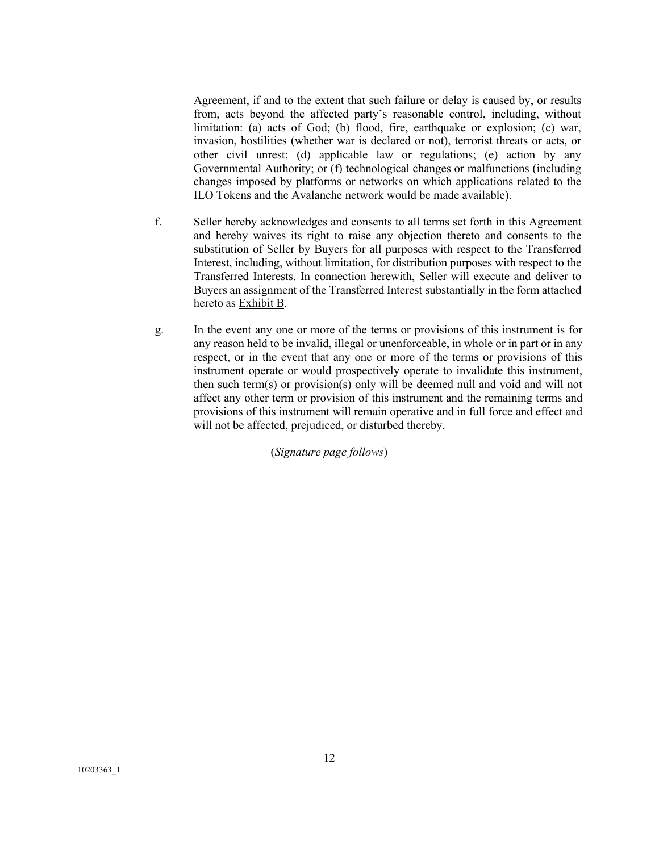Agreement, if and to the extent that such failure or delay is caused by, or results from, acts beyond the affected party's reasonable control, including, without limitation: (a) acts of God; (b) flood, fire, earthquake or explosion; (c) war, invasion, hostilities (whether war is declared or not), terrorist threats or acts, or other civil unrest; (d) applicable law or regulations; (e) action by any Governmental Authority; or (f) technological changes or malfunctions (including changes imposed by platforms or networks on which applications related to the ILO Tokens and the Avalanche network would be made available).

- f. Seller hereby acknowledges and consents to all terms set forth in this Agreement and hereby waives its right to raise any objection thereto and consents to the substitution of Seller by Buyers for all purposes with respect to the Transferred Interest, including, without limitation, for distribution purposes with respect to the Transferred Interests. In connection herewith, Seller will execute and deliver to Buyers an assignment of the Transferred Interest substantially in the form attached hereto as Exhibit B.
- g. In the event any one or more of the terms or provisions of this instrument is for any reason held to be invalid, illegal or unenforceable, in whole or in part or in any respect, or in the event that any one or more of the terms or provisions of this instrument operate or would prospectively operate to invalidate this instrument, then such term(s) or provision(s) only will be deemed null and void and will not affect any other term or provision of this instrument and the remaining terms and provisions of this instrument will remain operative and in full force and effect and will not be affected, prejudiced, or disturbed thereby.

(*Signature page follows*)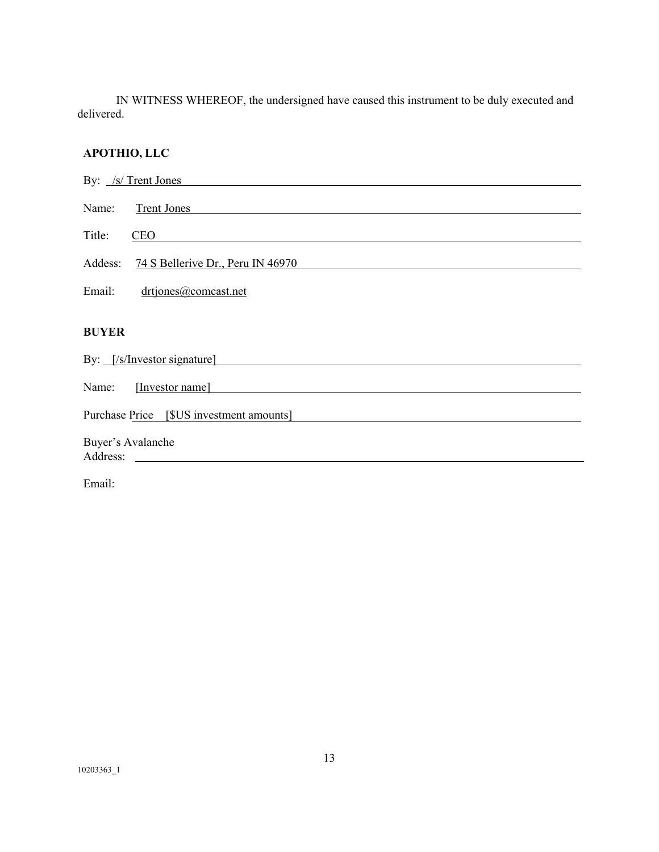IN WITNESS WHEREOF, the undersigned have caused this instrument to be duly executed and delivered.

# **APOTHIO, LLC**

| By: /s/ Trent Jones                          |
|----------------------------------------------|
| Name:<br><b>Trent Jones</b>                  |
| Title:<br><b>CEO</b>                         |
| Addess:<br>74 S Bellerive Dr., Peru IN 46970 |
| Email:<br>drtjones@comcast.net               |
|                                              |
| <b>BUYER</b>                                 |
| By: [/s/Investor signature]                  |
| Name:<br>[Investor name]                     |
| Purchase Price<br>[\$US investment amounts]  |
| Buyer's Avalanche<br>Address:                |
|                                              |

Email: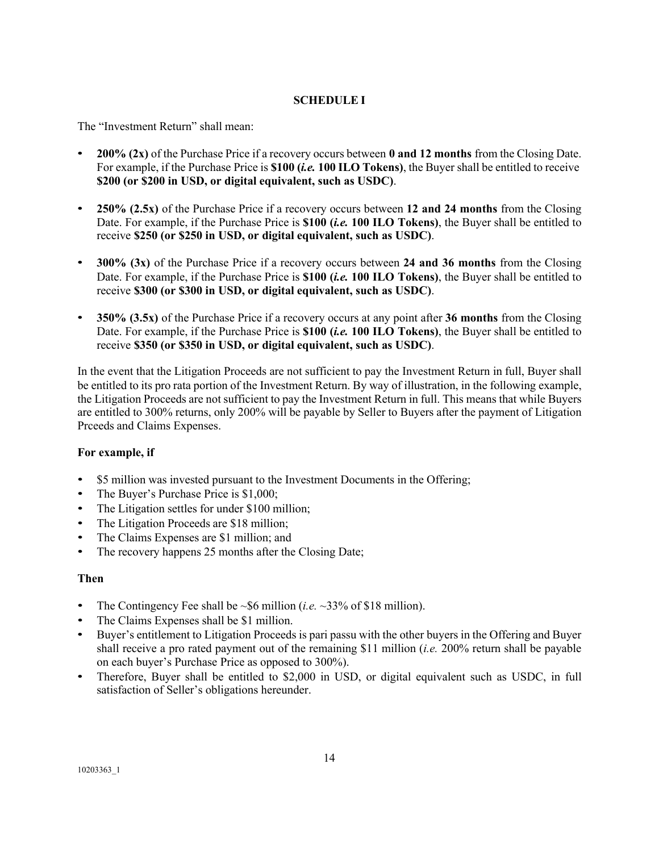# **SCHEDULE I**

The "Investment Return" shall mean:

- **200% (2x)** of the Purchase Price if a recovery occurs between **0 and 12 months** from the Closing Date. For example, if the Purchase Price is **\$100 (***i.e.* **100 ILO Tokens)**, the Buyer shall be entitled to receive **\$200 (or \$200 in USD, or digital equivalent, such as USDC)**.
- **250% (2.5x)** of the Purchase Price if a recovery occurs between **12 and 24 months** from the Closing Date. For example, if the Purchase Price is **\$100 (***i.e.* **100 ILO Tokens)**, the Buyer shall be entitled to receive **\$250 (or \$250 in USD, or digital equivalent, such as USDC)**.
- **300% (3x)** of the Purchase Price if a recovery occurs between **24 and 36 months** from the Closing Date. For example, if the Purchase Price is **\$100 (***i.e.* **100 ILO Tokens)**, the Buyer shall be entitled to receive **\$300 (or \$300 in USD, or digital equivalent, such as USDC)**.
- **350% (3.5x)** of the Purchase Price if a recovery occurs at any point after **36 months** from the Closing Date. For example, if the Purchase Price is **\$100 (***i.e.* **100 ILO Tokens)**, the Buyer shall be entitled to receive **\$350 (or \$350 in USD, or digital equivalent, such as USDC)**.

In the event that the Litigation Proceeds are not sufficient to pay the Investment Return in full, Buyer shall be entitled to its pro rata portion of the Investment Return. By way of illustration, in the following example, the Litigation Proceeds are not sufficient to pay the Investment Return in full. This means that while Buyers are entitled to 300% returns, only 200% will be payable by Seller to Buyers after the payment of Litigation Prceeds and Claims Expenses.

# **For example, if**

- \$5 million was invested pursuant to the Investment Documents in the Offering;
- The Buyer's Purchase Price is \$1,000;
- The Litigation settles for under \$100 million;
- The Litigation Proceeds are \$18 million;
- The Claims Expenses are \$1 million; and
- The recovery happens 25 months after the Closing Date;

## **Then**

- The Contingency Fee shall be  $\sim$  \$6 million (*i.e.*  $\sim$  33% of \$18 million).
- The Claims Expenses shall be \$1 million.
- Buyer's entitlement to Litigation Proceeds is pari passu with the other buyers in the Offering and Buyer shall receive a pro rated payment out of the remaining \$11 million (*i.e.* 200% return shall be payable on each buyer's Purchase Price as opposed to 300%).
- Therefore, Buyer shall be entitled to \$2,000 in USD, or digital equivalent such as USDC, in full satisfaction of Seller's obligations hereunder.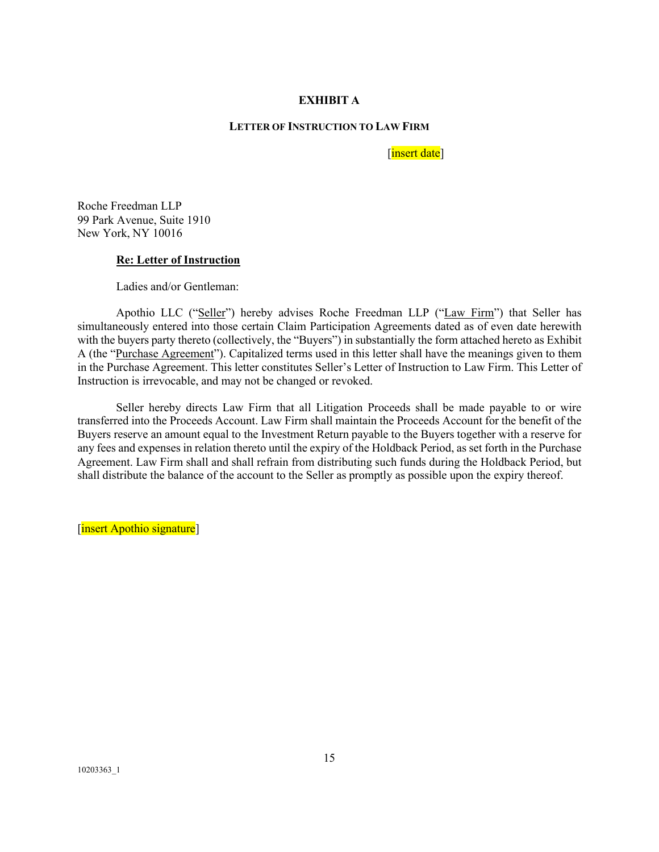## **EXHIBIT A**

#### **LETTER OF INSTRUCTION TO LAW FIRM**

[insert date]

Roche Freedman LLP 99 Park Avenue, Suite 1910 New York, NY 10016

#### **Re: Letter of Instruction**

Ladies and/or Gentleman:

Apothio LLC ("Seller") hereby advises Roche Freedman LLP ("Law Firm") that Seller has simultaneously entered into those certain Claim Participation Agreements dated as of even date herewith with the buyers party thereto (collectively, the "Buyers") in substantially the form attached hereto as Exhibit A (the "Purchase Agreement"). Capitalized terms used in this letter shall have the meanings given to them in the Purchase Agreement. This letter constitutes Seller's Letter of Instruction to Law Firm. This Letter of Instruction is irrevocable, and may not be changed or revoked.

Seller hereby directs Law Firm that all Litigation Proceeds shall be made payable to or wire transferred into the Proceeds Account. Law Firm shall maintain the Proceeds Account for the benefit of the Buyers reserve an amount equal to the Investment Return payable to the Buyers together with a reserve for any fees and expenses in relation thereto until the expiry of the Holdback Period, as set forth in the Purchase Agreement. Law Firm shall and shall refrain from distributing such funds during the Holdback Period, but shall distribute the balance of the account to the Seller as promptly as possible upon the expiry thereof.

[insert Apothio signature]